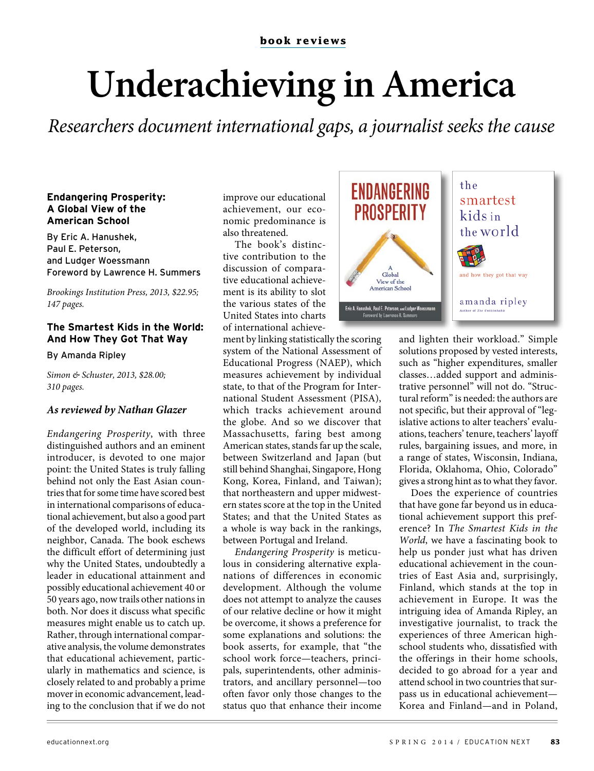# Underachieving in America

Researchers document international gaps, a journalist seeks the cause

#### **Endangering Prosperity:** A Global View of the **American School**

By Eric A. Hanushek, Paul E. Peterson. and Ludger Woessmann Foreword by Lawrence H. Summers

Brookings Institution Press, 2013, \$22.95; 147 pages.

### The Smartest Kids in the World: And How They Got That Wav

By Amanda Ripley

Simon & Schuster, 2013, \$28.00; 310 pages.

## As reviewed by Nathan Glazer

Endangering Prosperity, with three distinguished authors and an eminent introducer, is devoted to one major point: the United States is truly falling behind not only the East Asian countries that for some time have scored best in international comparisons of educational achievement, but also a good part of the developed world, including its neighbor, Canada. The book eschews the difficult effort of determining just why the United States, undoubtedly a leader in educational attainment and possibly educational achievement 40 or 50 years ago, now trails other nations in both. Nor does it discuss what specific measures might enable us to catch up. Rather, through international comparative analysis, the volume demonstrates that educational achievement, particularly in mathematics and science, is closely related to and probably a prime mover in economic advancement, leading to the conclusion that if we do not improve our educational achievement, our economic predominance is also threatened.

The book's distinctive contribution to the discussion of comparative educational achievement is its ability to slot the various states of the United States into charts of international achieve-

ment by linking statistically the scoring system of the National Assessment of Educational Progress (NAEP), which measures achievement by individual state, to that of the Program for International Student Assessment (PISA), which tracks achievement around the globe. And so we discover that Massachusetts, faring best among American states, stands far up the scale, between Switzerland and Japan (but still behind Shanghai, Singapore, Hong Kong, Korea, Finland, and Taiwan); that northeastern and upper midwestern states score at the top in the United States; and that the United States as a whole is way back in the rankings, between Portugal and Ireland.

Endangering Prosperity is meticulous in considering alternative explanations of differences in economic development. Although the volume does not attempt to analyze the causes of our relative decline or how it might be overcome, it shows a preference for some explanations and solutions: the book asserts, for example, that "the school work force-teachers, principals, superintendents, other administrators, and ancillary personnel-too often favor only those changes to the status quo that enhance their income



and lighten their workload." Simple solutions proposed by vested interests, such as "higher expenditures, smaller classes...added support and administrative personnel" will not do. "Structural reform" is needed: the authors are not specific, but their approval of "legislative actions to alter teachers' evaluations, teachers' tenure, teachers' layoff rules, bargaining issues, and more, in a range of states, Wisconsin, Indiana, Florida, Oklahoma, Ohio, Colorado" gives a strong hint as to what they favor.

Does the experience of countries that have gone far beyond us in educational achievement support this preference? In The Smartest Kids in the World, we have a fascinating book to help us ponder just what has driven educational achievement in the countries of East Asia and, surprisingly, Finland, which stands at the top in achievement in Europe. It was the intriguing idea of Amanda Ripley, an investigative journalist, to track the experiences of three American highschool students who, dissatisfied with the offerings in their home schools, decided to go abroad for a year and attend school in two countries that surpass us in educational achievement-Korea and Finland-and in Poland,